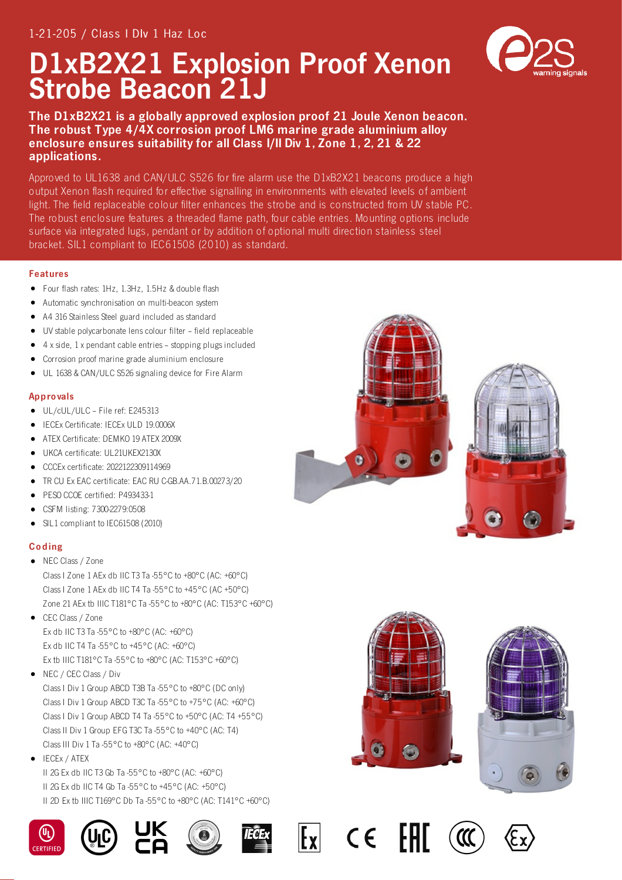# D1xB2X21 Explosion Proof Xenon Strobe Beacon 21J

The D1xB2X21 is a globally approved explosion proof 21 Joule Xenon beacon. The robust Type 4/4X corrosion proof LM6 marine grade aluminium alloy enclosure ensures suitability for all Class I/II Div 1, Zone 1, 2, 21 & 22 applications.

Approved to UL1638 and CAN/ULC S526 for fire alarm use the D1xB2X21 beacons produce a high output Xenon flash required for effective signalling in environments with elevated levels of ambient light. The field replaceable colour filter enhances the strobe and is constructed from UV stable PC. The robust enclosure features a threaded flame path, four cable entries. Mounting options include surface via integrated lugs, pendant or by addition of optional multi direction stainless steel bracket. SIL1 compliant to IEC61508 (2010) as standard.

## Features

- Four flash rates: 1Hz, 1.3Hz, 1.5Hz & double flash
- Automatic synchronisation on multi-beacon system
- A4 316 Stainless Steel guard included as standard
- UV stable polycarbonate lens colour filter field replaceable
- 4 x side, 1 x pendant cable entries stopping plugs included  $\bullet$
- Corrosion proof marine grade aluminium enclosure
- UL 1638 & CAN/ULC S526 signaling device for Fire Alarm

## **Approvals**

- UL/cUL/ULC File ref: E245313
- IECEx Certificate: IECEx ULD 19.0006X
- ATEX Certificate: DEMKO 19 ATEX 2009X
- UKCA certificate: UL21UKEX2130X
- CCCEx certificate: 2022122309114969
- TR CU Ex EAC certificate: EAC RU C-GB.AA.71.B.00273/20
- PESO CCOE certified: P493433-1
- CSFM listing: 7300-2279:0508
- SIL1 compliant to IEC61508 (2010)  $\bullet$

## Co ding

• NEC Class / Zone

Class I Zone 1 AEx db IIC T3 Ta -55°C to +80°C (AC: +60°C) Class I Zone 1 AEx db IIC T4 Ta -55°C to +45°C (AC +50°C) Zone 21 AEx tb IIIC T181°C Ta -55°C to +80°C (AC: T153°C +60°C)

- CEC Class / Zone Ex db IIC T3 Ta -55°C to +80°C (AC: +60°C) Ex db IIC T4 Ta -55°C to +45°C (AC: +60°C) Ex tb IIIC T181°C Ta -55°C to +80°C (AC: T153°C +60°C)
- NEC / CEC Class / Div Class I Div 1 Group ABCD T3B Ta -55°C to +80°C (DC only) Class I Div 1 Group ABCD T3C Ta -55°C to +75°C (AC: +60°C) Class I Div 1 Group ABCD T4 Ta -55°C to +50°C (AC: T4 +55°C) Class II Div 1 Group EFG T3C Ta -55°C to +40°C (AC: T4) Class III Div 1 Ta -55°C to +80°C (AC: +40°C)
- IECEx / ATEX

II 2G Ex db IIC T3 Gb Ta -55°C to +80°C (AC: +60°C) II 2G Ex db IIC T4 Gb Ta -55°C to +45°C (AC: +50°C) II 2D Ex tb IIIC T169°C Db Ta -55°C to +80°C (AC: T141°C +60°C)











 $C \in$ 











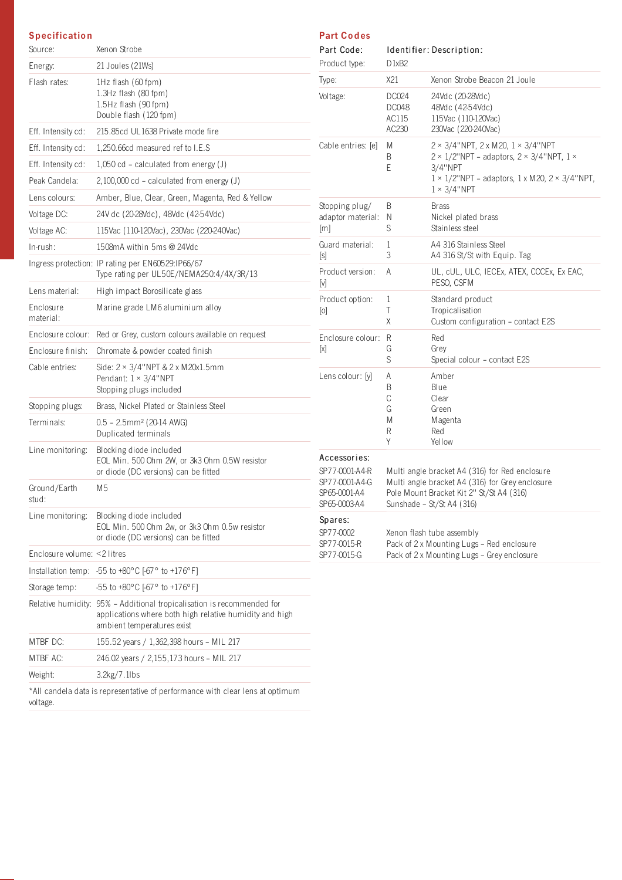### **Specification**

| Source:                     | Xenon Strobe                                                                                                                                                    |
|-----------------------------|-----------------------------------------------------------------------------------------------------------------------------------------------------------------|
| Energy:                     | 21 Joules (21Ws)                                                                                                                                                |
| Flash rates:                | $1Hz$ flash (60 fpm)<br>$1.3Hz$ flash (80 fpm)<br>$1.5$ Hz flash (90 fpm)<br>Double flash (120 fpm)                                                             |
| Eff. Intensity cd:          | 215.85cd UL1638 Private mode fire                                                                                                                               |
| Eff. Intensity cd:          | 1,250.66cd measured ref to I.E.S                                                                                                                                |
| Eff. Intensity cd:          | $1,050$ cd – calculated from energy (J)                                                                                                                         |
| Peak Candela:               | $2,100,000$ cd – calculated from energy (J)                                                                                                                     |
| Lens colours:               | Amber, Blue, Clear, Green, Magenta, Red & Yellow                                                                                                                |
| Voltage DC:                 | 24V dc (20-28Vdc), 48Vdc (42-54Vdc)                                                                                                                             |
| Voltage AC:                 | 115Vac (110-120Vac), 230Vac (220-240Vac)                                                                                                                        |
| $In-rush:$                  | 1508mA within 5ms @ 24Vdc                                                                                                                                       |
|                             | Ingress protection: IP rating per EN60529:IP66/67<br>Type rating per UL50E/NEMA250:4/4X/3R/13                                                                   |
| Lens material:              | High impact Borosilicate glass                                                                                                                                  |
| Enclosure<br>material:      | Marine grade LM6 aluminium alloy                                                                                                                                |
| Enclosure colour:           | Red or Grey, custom colours available on request                                                                                                                |
| Enclosure finish:           | Chromate & powder coated finish                                                                                                                                 |
| Cable entries:              | Side: $2 \times 3/4$ "NPT & $2 \times M20x1.5$ mm<br>Pendant: $1 \times 3/4$ "NPT<br>Stopping plugs included                                                    |
| Stopping plugs:             | Brass, Nickel Plated or Stainless Steel                                                                                                                         |
| Terminals:                  | $0.5 - 2.5$ mm <sup>2</sup> (20-14 AWG)<br>Duplicated terminals                                                                                                 |
| Line monitoring:            | Blocking diode included<br>EOL Min. 500 Ohm 2W, or 3k3 Ohm 0.5W resistor<br>or diode (DC versions) can be fitted                                                |
| Ground/Earth<br>stud:       | M5                                                                                                                                                              |
| Line monitoring:            | Blocking diode included<br>EOL Min. 500 Ohm 2w, or 3k3 Ohm 0.5w resistor<br>or diode (DC versions) can be fitted                                                |
| Enclosure volume: <2 litres |                                                                                                                                                                 |
|                             | Installation temp: -55 to +80 $^{\circ}$ C [-67 $^{\circ}$ to +176 $^{\circ}$ F]                                                                                |
| Storage temp:               | $-55$ to $+80^{\circ}$ C [-67° to $+176^{\circ}$ F]                                                                                                             |
|                             | Relative humidity: 95% - Additional tropicalisation is recommended for<br>applications where both high relative humidity and high<br>ambient temperatures exist |
| MTBF DC:                    | 155.52 years / 1,362,398 hours - MIL 217                                                                                                                        |
| MTBF AC:                    | 246.02 years / 2,155,173 hours - MIL 217                                                                                                                        |
| Weight:                     | 3.2kg/7.1lbs                                                                                                                                                    |
| voltage.                    | *All candela data is representative of performance with clear lens at optimum                                                                                   |

| <b>Part Codes</b> |
|-------------------|
|                   |

| Part Code:<br>Product type:                                                      | D <sub>1</sub> xB <sub>2</sub>                                                                                                                                             | Identifier: Description:                                                                                                                                                                                                        |  |  |
|----------------------------------------------------------------------------------|----------------------------------------------------------------------------------------------------------------------------------------------------------------------------|---------------------------------------------------------------------------------------------------------------------------------------------------------------------------------------------------------------------------------|--|--|
| Type:                                                                            | X21                                                                                                                                                                        | Xenon Strobe Beacon 21 Joule                                                                                                                                                                                                    |  |  |
| Voltage:                                                                         | DC024<br>DC048<br>AC115<br>AC230                                                                                                                                           | 24Vdc (20-28Vdc)<br>48Vdc (42-54Vdc)<br>115Vac (110-120Vac)<br>230Vac (220-240Vac)                                                                                                                                              |  |  |
| Cable entries: [e]                                                               | M<br>B<br>E                                                                                                                                                                | $2 \times 3/4$ "NPT, 2 x M20, 1 $\times 3/4$ "NPT<br>$2 \times 1/2$ "NPT – adaptors, $2 \times 3/4$ "NPT, $1 \times$<br>3/4"NPT<br>$1 \times 1/2$ "NPT - adaptors, $1 \times M20$ , $2 \times 3/4$ "NPT,<br>$1 \times 3/4$ "NPT |  |  |
| Stopping plug/<br>adaptor material:<br>[m]                                       | B<br>Ν<br>S                                                                                                                                                                | Brass<br>Nickel plated brass<br>Stainless steel                                                                                                                                                                                 |  |  |
| Guard material:<br>[s]                                                           | 1<br>3                                                                                                                                                                     | A4 316 Stainless Steel<br>A4 316 St/St with Equip. Tag                                                                                                                                                                          |  |  |
| Product version:<br>[v]                                                          | Α                                                                                                                                                                          | UL, cUL, ULC, IECEx, ATEX, CCCEx, Ex EAC,<br>PESO, CSFM                                                                                                                                                                         |  |  |
| Product option:<br>ſо]                                                           | 1<br>Τ<br>Χ                                                                                                                                                                | Standard product<br>Tropicalisation<br>Custom configuration - contact E2S                                                                                                                                                       |  |  |
| Enclosure colour:<br>ſхl                                                         | R<br>G<br>S                                                                                                                                                                | Red<br>Grey<br>Special colour - contact E2S                                                                                                                                                                                     |  |  |
| Lens colour: [y]                                                                 | A<br>B<br>C<br>G<br>Μ<br>R<br>Υ                                                                                                                                            | Amber<br>Blue<br>Clear<br>Green<br>Magenta<br>Red<br>Yellow                                                                                                                                                                     |  |  |
| Accessories:<br>SP77-0001-A4-R<br>SP77-0001-A4-G<br>SP65-0001-A4<br>SP65-0003-A4 | Multi angle bracket A4 (316) for Red enclosure<br>Multi angle bracket A4 (316) for Grey enclosure<br>Pole Mount Bracket Kit 2" St/St A4 (316)<br>Sunshade - St/St A4 (316) |                                                                                                                                                                                                                                 |  |  |
| Spares:<br>SP77-0002<br>SP77-0015-R<br>SP77-0015-G                               |                                                                                                                                                                            | Xenon flash tube assembly<br>Pack of 2 x Mounting Lugs - Red enclosure<br>Pack of 2 x Mounting Lugs - Grey enclosure                                                                                                            |  |  |